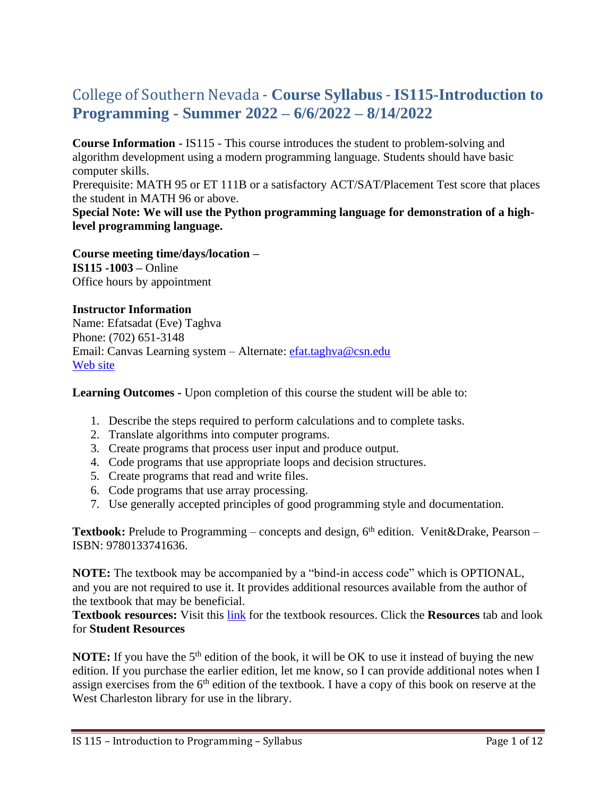# College of Southern Nevada - **Course Syllabus** -**IS115-Introduction to Programming - Summer 2022 – 6/6/2022 – 8/14/2022**

**Course Information -** IS115 - This course introduces the student to problem-solving and algorithm development using a modern programming language. Students should have basic computer skills.

Prerequisite: MATH 95 or ET 111B or a satisfactory ACT/SAT/Placement Test score that places the student in MATH 96 or above.

**Special Note: We will use the Python programming language for demonstration of a highlevel programming language.**

**Course meeting time/days/location – IS115 -1003 –** Online Office hours by appointment

#### **Instructor Information**

Name: Efatsadat (Eve) Taghva Phone: (702) 651-3148 Email: Canvas Learning system – Alternate: [efat.taghva@csn.edu](mailto:efat.taghva@csn.edu) [Web site](https://bellagio.csn.edu/~etaghva/courses/)

**Learning Outcomes -** Upon completion of this course the student will be able to:

- 1. Describe the steps required to perform calculations and to complete tasks.
- 2. Translate algorithms into computer programs.
- 3. Create programs that process user input and produce output.
- 4. Code programs that use appropriate loops and decision structures.
- 5. Create programs that read and write files.
- 6. Code programs that use array processing.
- 7. Use generally accepted principles of good programming style and documentation.

**Textbook:** Prelude to Programming – concepts and design, 6<sup>th</sup> edition. Venit&Drake, Pearson – ISBN: 9780133741636.

**NOTE:** The textbook may be accompanied by a "bind-in access code" which is OPTIONAL, and you are not required to use it. It provides additional resources available from the author of the textbook that may be beneficial.

**Textbook resources:** Visit this [link](http://goo.gl/OCLPR8) for the textbook resources. Click the **Resources** tab and look for **Student Resources**

**NOTE:** If you have the 5<sup>th</sup> edition of the book, it will be OK to use it instead of buying the new edition. If you purchase the earlier edition, let me know, so I can provide additional notes when I assign exercises from the  $6<sup>th</sup>$  edition of the textbook. I have a copy of this book on reserve at the West Charleston library for use in the library.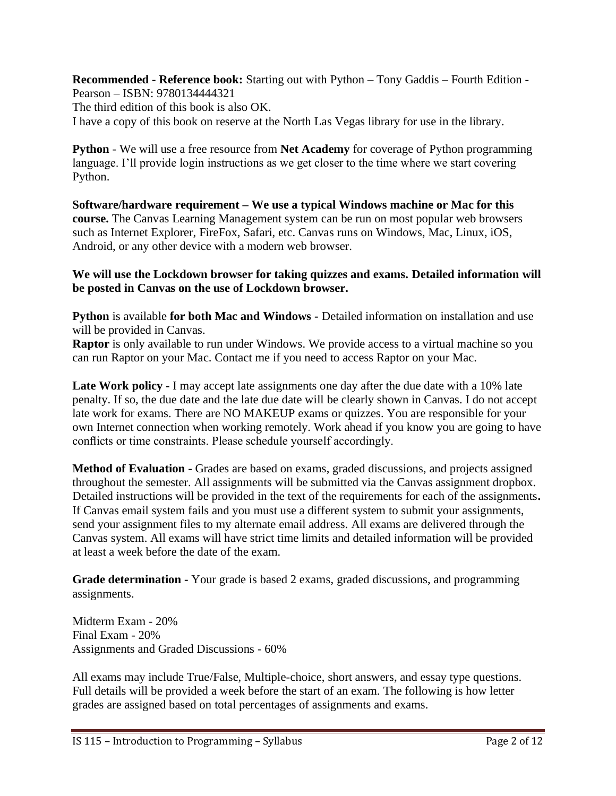**Recommended - Reference book:** Starting out with Python – Tony Gaddis – Fourth Edition - Pearson – ISBN: 9780134444321 The third edition of this book is also OK. I have a copy of this book on reserve at the North Las Vegas library for use in the library.

**Python** - We will use a free resource from **Net Academy** for coverage of Python programming language. I'll provide login instructions as we get closer to the time where we start covering Python.

**Software/hardware requirement – We use a typical Windows machine or Mac for this course.** The Canvas Learning Management system can be run on most popular web browsers such as Internet Explorer, FireFox, Safari, etc. Canvas runs on Windows, Mac, Linux, iOS, Android, or any other device with a modern web browser.

**We will use the Lockdown browser for taking quizzes and exams. Detailed information will be posted in Canvas on the use of Lockdown browser.**

**Python** is available **for both Mac and Windows -** Detailed information on installation and use will be provided in Canvas.

**Raptor** is only available to run under Windows. We provide access to a virtual machine so you can run Raptor on your Mac. Contact me if you need to access Raptor on your Mac.

**Late Work policy -** I may accept late assignments one day after the due date with a 10% late penalty. If so, the due date and the late due date will be clearly shown in Canvas. I do not accept late work for exams. There are NO MAKEUP exams or quizzes. You are responsible for your own Internet connection when working remotely. Work ahead if you know you are going to have conflicts or time constraints. Please schedule yourself accordingly.

**Method of Evaluation -** Grades are based on exams, graded discussions, and projects assigned throughout the semester. All assignments will be submitted via the Canvas assignment dropbox. Detailed instructions will be provided in the text of the requirements for each of the assignments**.**  If Canvas email system fails and you must use a different system to submit your assignments, send your assignment files to my alternate email address. All exams are delivered through the Canvas system. All exams will have strict time limits and detailed information will be provided at least a week before the date of the exam.

**Grade determination -** Your grade is based 2 exams, graded discussions, and programming assignments.

Midterm Exam - 20% Final Exam - 20% Assignments and Graded Discussions - 60%

All exams may include True/False, Multiple-choice, short answers, and essay type questions. Full details will be provided a week before the start of an exam. The following is how letter grades are assigned based on total percentages of assignments and exams.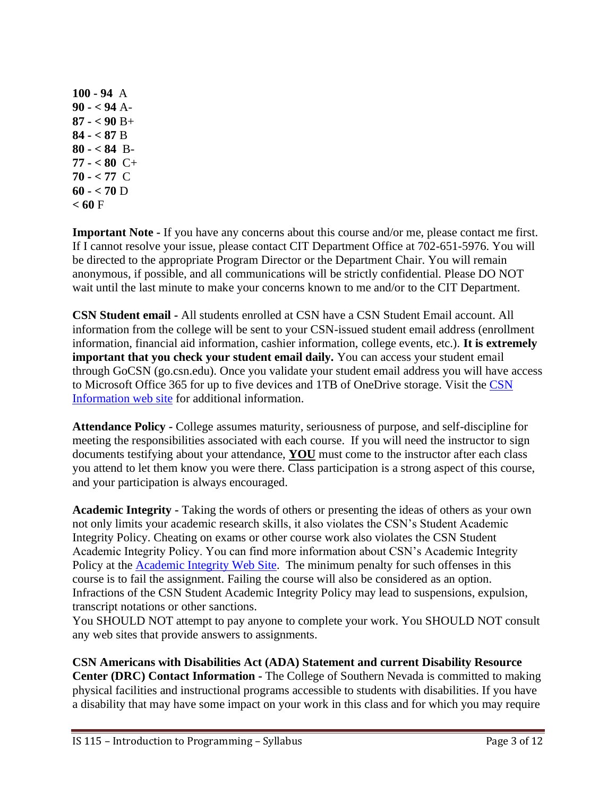**100 - 94** A **90 - < 94** A-**87 - < 90** B+ **84 - < 87** B **80 - < 84** B-**77 - < 80** C+ **70 - < 77** C **60 - < 70** D  $< 60 F$ 

**Important Note -** If you have any concerns about this course and/or me, please contact me first. If I cannot resolve your issue, please contact CIT Department Office at 702-651-5976. You will be directed to the appropriate Program Director or the Department Chair. You will remain anonymous, if possible, and all communications will be strictly confidential. Please DO NOT wait until the last minute to make your concerns known to me and/or to the CIT Department.

**CSN Student email -** All students enrolled at CSN have a CSN Student Email account. All information from the college will be sent to your CSN-issued student email address (enrollment information, financial aid information, cashier information, college events, etc.). **It is extremely important that you check your student email daily.** You can access your student email through GoCSN (go.csn.edu). Once you validate your student email address you will have access to Microsoft Office 365 for up to five devices and 1TB of OneDrive storage. Visit the [CSN](http://www.csn.edu/email)  [Information web site](http://www.csn.edu/email) for additional information.

**Attendance Policy -** College assumes maturity, seriousness of purpose, and self-discipline for meeting the responsibilities associated with each course. If you will need the instructor to sign documents testifying about your attendance, **YOU** must come to the instructor after each class you attend to let them know you were there. Class participation is a strong aspect of this course, and your participation is always encouraged.

**Academic Integrity -** Taking the words of others or presenting the ideas of others as your own not only limits your academic research skills, it also violates the CSN's Student Academic Integrity Policy. Cheating on exams or other course work also violates the CSN Student Academic Integrity Policy. You can find more information about CSN's Academic Integrity Policy at the **Academic Integrity Web Site**. The minimum penalty for such offenses in this course is to fail the assignment. Failing the course will also be considered as an option. Infractions of the CSN Student Academic Integrity Policy may lead to suspensions, expulsion, transcript notations or other sanctions.

You SHOULD NOT attempt to pay anyone to complete your work. You SHOULD NOT consult any web sites that provide answers to assignments.

**CSN Americans with Disabilities Act (ADA) Statement and current Disability Resource Center (DRC) Contact Information -** The College of Southern Nevada is committed to making physical facilities and instructional programs accessible to students with disabilities. If you have a disability that may have some impact on your work in this class and for which you may require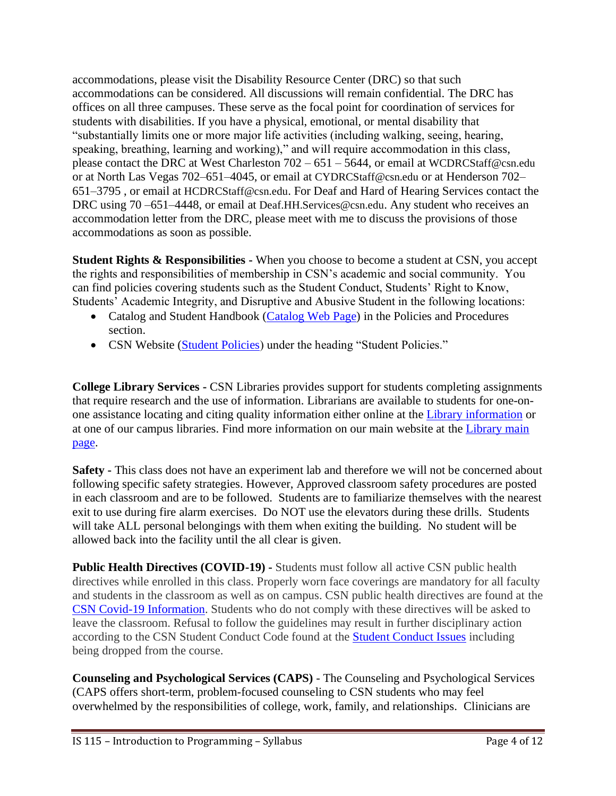accommodations, please visit the Disability Resource Center (DRC) so that such accommodations can be considered. All discussions will remain confidential. The DRC has offices on all three campuses. These serve as the focal point for coordination of services for students with disabilities. If you have a physical, emotional, or mental disability that "substantially limits one or more major life activities (including walking, seeing, hearing, speaking, breathing, learning and working)," and will require accommodation in this class, please contact the DRC at West Charleston 702 – 651 – 5644, or email at [WCDRCStaff@csn.edu](mailto:WCDRCStaff@csn.edu) or at North Las Vegas 702–651–4045, or email at [CYDRCStaff@csn.edu](mailto:CYDRCStaff@csn.edu) or at Henderson 702– 651–3795 , or email at [HCDRCStaff@csn.edu](mailto:HCDRCStaff@csn.edu). For Deaf and Hard of Hearing Services contact the DRC using 70 –651–4448, or email at [Deaf.HH.Services@csn.edu](mailto:Deaf.HH.Services@csn.edu). Any student who receives an accommodation letter from the DRC, please meet with me to discuss the provisions of those accommodations as soon as possible.

**Student Rights & Responsibilities -** When you choose to become a student at CSN, you accept the rights and responsibilities of membership in CSN's academic and social community. You can find policies covering students such as the Student Conduct, Students' Right to Know, Students' Academic Integrity, and Disruptive and Abusive Student in the following locations:

- Catalog and Student Handbook [\(Catalog Web Page\)](https://www.csn.edu/catalog) in the Policies and Procedures section.
- CSN Website [\(Student Policies\)](https://www.csn.edu/policies-procedures) under the heading "Student Policies."

**College Library Services -** CSN Libraries provides support for students completing assignments that require research and the use of information. Librarians are available to students for one-onone assistance locating and citing quality information either online at the [Library information](https://library.csn.edu/ask/) or at one of our campus libraries. Find more information on our main website at the [Library main](https://library.csn.edu/)  [page.](https://library.csn.edu/)

**Safety -** This class does not have an experiment lab and therefore we will not be concerned about following specific safety strategies. However, Approved classroom safety procedures are posted in each classroom and are to be followed. Students are to familiarize themselves with the nearest exit to use during fire alarm exercises. Do NOT use the elevators during these drills. Students will take ALL personal belongings with them when exiting the building. No student will be allowed back into the facility until the all clear is given.

**Public Health Directives (COVID-19) -** Students must follow all active CSN public health directives while enrolled in this class. Properly worn face coverings are mandatory for all faculty and students in the classroom as well as on campus. CSN public health directives are found at the [CSN Covid-19 Information.](https://at.csn.edu/covid-19) Students who do not comply with these directives will be asked to leave the classroom. Refusal to follow the guidelines may result in further disciplinary action according to the CSN Student Conduct Code found at the [Student Conduct Issues](https://www.csn.edu/sites/default/files/documents/student_conduct_code_policy_1.pdf) including being dropped from the course.

**Counseling and Psychological Services (CAPS)** - The Counseling and Psychological Services (CAPS offers short-term, problem-focused counseling to CSN students who may feel overwhelmed by the responsibilities of college, work, family, and relationships. Clinicians are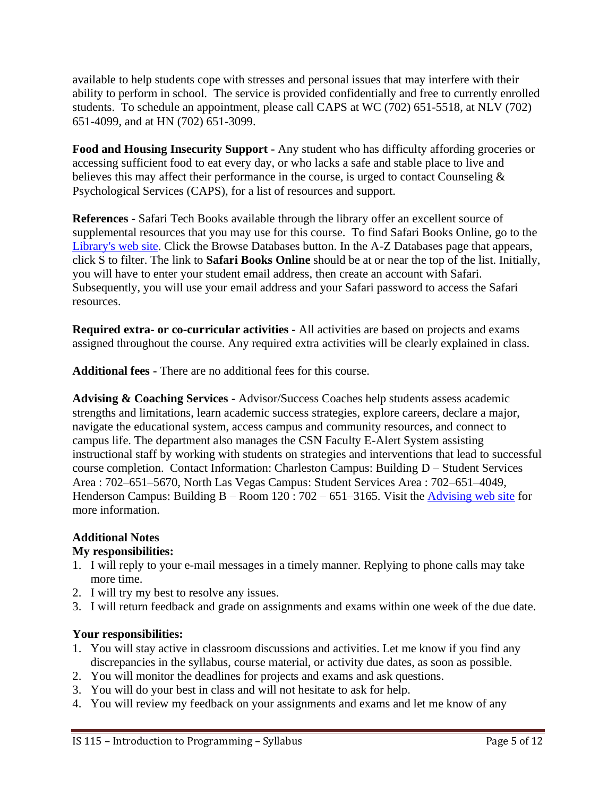available to help students cope with stresses and personal issues that may interfere with their ability to perform in school. The service is provided confidentially and free to currently enrolled students. To schedule an appointment, please call CAPS at WC (702) 651-5518, at NLV (702) 651-4099, and at HN (702) 651-3099.

**Food and Housing Insecurity Support -** Any student who has difficulty affording groceries or accessing sufficient food to eat every day, or who lacks a safe and stable place to live and believes this may affect their performance in the course, is urged to contact Counseling & Psychological Services (CAPS), for a list of resources and support.

**References -** Safari Tech Books available through the library offer an excellent source of supplemental resources that you may use for this course. To find Safari Books Online, go to the [Library's](file:///C:/Users/lrodis/AppData/Local/Microsoft/Windows/INetCache/Content.Outlook/KJ4TO412/library.csn.edu) web site. Click the Browse Databases button. In the A-Z Databases page that appears, click S to filter. The link to **Safari Books Online** should be at or near the top of the list. Initially, you will have to enter your student email address, then create an account with Safari. Subsequently, you will use your email address and your Safari password to access the Safari resources.

**Required extra- or co-curricular activities -** All activities are based on projects and exams assigned throughout the course. Any required extra activities will be clearly explained in class.

**Additional fees -** There are no additional fees for this course.

**Advising & Coaching Services -** Advisor/Success Coaches help students assess academic strengths and limitations, learn academic success strategies, explore careers, declare a major, navigate the educational system, access campus and community resources, and connect to campus life. The department also manages the CSN Faculty E-Alert System assisting instructional staff by working with students on strategies and interventions that lead to successful course completion. Contact Information: Charleston Campus: Building D – Student Services Area : 702–651–5670, North Las Vegas Campus: Student Services Area : 702–651–4049, Henderson Campus: Building  $B -$ Room 120 : 702 – 651–3165. Visit the [Advising web site](https://www.csn.edu/advising) for more information.

#### **Additional Notes**

## **My responsibilities:**

- 1. I will reply to your e-mail messages in a timely manner. Replying to phone calls may take more time.
- 2. I will try my best to resolve any issues.
- 3. I will return feedback and grade on assignments and exams within one week of the due date.

## **Your responsibilities:**

- 1. You will stay active in classroom discussions and activities. Let me know if you find any discrepancies in the syllabus, course material, or activity due dates, as soon as possible.
- 2. You will monitor the deadlines for projects and exams and ask questions.
- 3. You will do your best in class and will not hesitate to ask for help.
- 4. You will review my feedback on your assignments and exams and let me know of any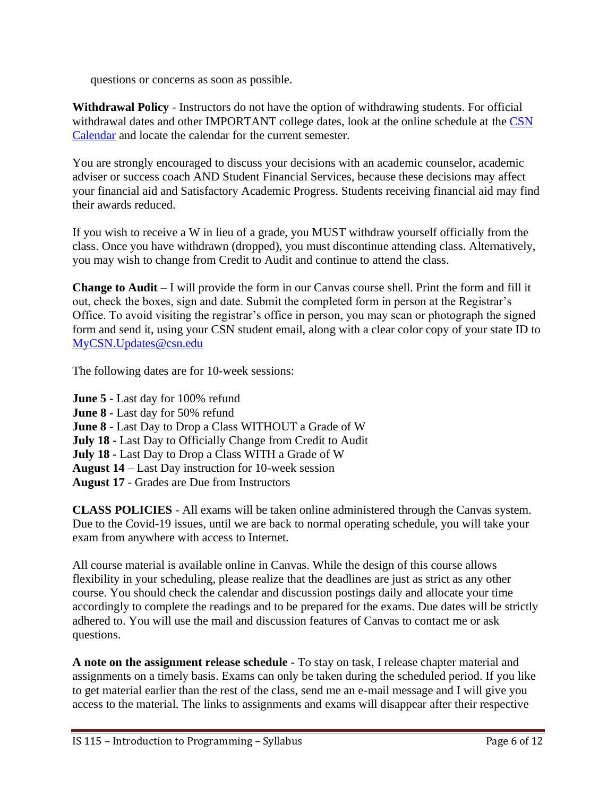questions or concerns as soon as possible.

**Withdrawal Policy** - Instructors do not have the option of withdrawing students. For official withdrawal dates and other IMPORTANT college dates, look at the online schedule at the [CSN](https://www.csn.edu/calendar-catalog-schedule)  [Calendar](https://www.csn.edu/calendar-catalog-schedule) and locate the calendar for the current semester.

You are strongly encouraged to discuss your decisions with an academic counselor, academic adviser or success coach AND Student Financial Services, because these decisions may affect your financial aid and Satisfactory Academic Progress. Students receiving financial aid may find their awards reduced.

If you wish to receive a W in lieu of a grade, you MUST withdraw yourself officially from the class. Once you have withdrawn (dropped), you must discontinue attending class. Alternatively, you may wish to change from Credit to Audit and continue to attend the class.

**Change to Audit** – I will provide the form in our Canvas course shell. Print the form and fill it out, check the boxes, sign and date. Submit the completed form in person at the Registrar's Office. To avoid visiting the registrar's office in person, you may scan or photograph the signed form and send it, using your CSN student email, along with a clear color copy of your state ID to [MyCSN.Updates@csn.edu](mailto:MyCSN.Updates@csn.edu)

The following dates are for 10-week sessions:

**June 5 -** Last day for 100% refund **June 8 -** Last day for 50% refund **June 8** - Last Day to Drop a Class WITHOUT a Grade of W **July 18 -** Last Day to Officially Change from Credit to Audit **July 18 -** Last Day to Drop a Class WITH a Grade of W **August 14** – Last Day instruction for 10-week session **August 17** - Grades are Due from Instructors

**CLASS POLICIES** - All exams will be taken online administered through the Canvas system. Due to the Covid-19 issues, until we are back to normal operating schedule, you will take your exam from anywhere with access to Internet.

All course material is available online in Canvas. While the design of this course allows flexibility in your scheduling, please realize that the deadlines are just as strict as any other course. You should check the calendar and discussion postings daily and allocate your time accordingly to complete the readings and to be prepared for the exams. Due dates will be strictly adhered to. You will use the mail and discussion features of Canvas to contact me or ask questions.

**A note on the assignment release schedule -** To stay on task, I release chapter material and assignments on a timely basis. Exams can only be taken during the scheduled period. If you like to get material earlier than the rest of the class, send me an e-mail message and I will give you access to the material. The links to assignments and exams will disappear after their respective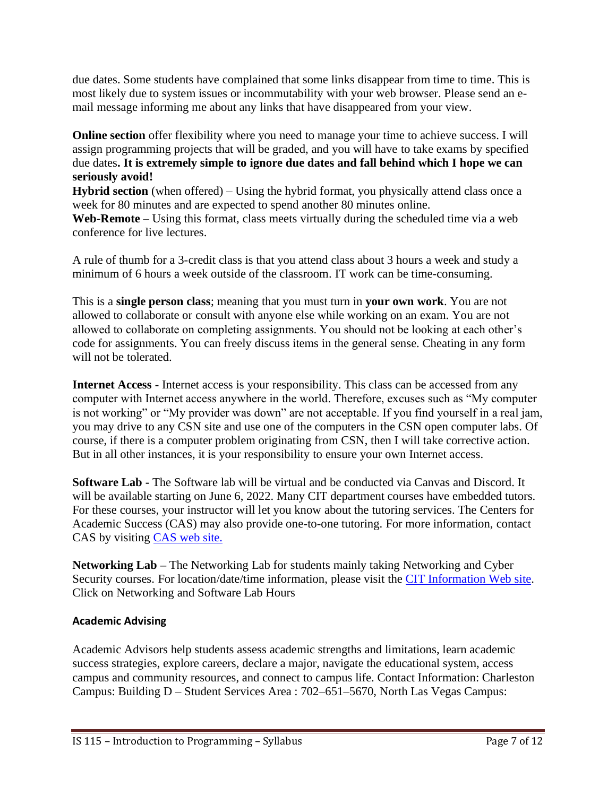due dates. Some students have complained that some links disappear from time to time. This is most likely due to system issues or incommutability with your web browser. Please send an email message informing me about any links that have disappeared from your view.

**Online section** offer flexibility where you need to manage your time to achieve success. I will assign programming projects that will be graded, and you will have to take exams by specified due dates**. It is extremely simple to ignore due dates and fall behind which I hope we can seriously avoid!**

**Hybrid section** (when offered) – Using the hybrid format, you physically attend class once a week for 80 minutes and are expected to spend another 80 minutes online.

**Web-Remote** – Using this format, class meets virtually during the scheduled time via a web conference for live lectures.

A rule of thumb for a 3-credit class is that you attend class about 3 hours a week and study a minimum of 6 hours a week outside of the classroom. IT work can be time-consuming.

This is a **single person class**; meaning that you must turn in **your own work**. You are not allowed to collaborate or consult with anyone else while working on an exam. You are not allowed to collaborate on completing assignments. You should not be looking at each other's code for assignments. You can freely discuss items in the general sense. Cheating in any form will not be tolerated.

**Internet Access -** Internet access is your responsibility. This class can be accessed from any computer with Internet access anywhere in the world. Therefore, excuses such as "My computer is not working" or "My provider was down" are not acceptable. If you find yourself in a real jam, you may drive to any CSN site and use one of the computers in the CSN open computer labs. Of course, if there is a computer problem originating from CSN, then I will take corrective action. But in all other instances, it is your responsibility to ensure your own Internet access.

**Software Lab -** The Software lab will be virtual and be conducted via Canvas and Discord. It will be available starting on June 6, 2022. Many CIT department courses have embedded tutors. For these courses, your instructor will let you know about the tutoring services. The Centers for Academic Success (CAS) may also provide one-to-one tutoring. For more information, contact CAS by visiting [CAS web site.](http://www.csn.edu/centers-academic-success)

**Networking Lab –** The Networking Lab for students mainly taking Networking and Cyber Security courses. For location/date/time information, please visit the [CIT Information Web site.](https://at.csn.edu/cit-information) Click on Networking and Software Lab Hours

## **Academic Advising**

Academic Advisors help students assess academic strengths and limitations, learn academic success strategies, explore careers, declare a major, navigate the educational system, access campus and community resources, and connect to campus life. Contact Information: Charleston Campus: Building D – Student Services Area : 702–651–5670, North Las Vegas Campus: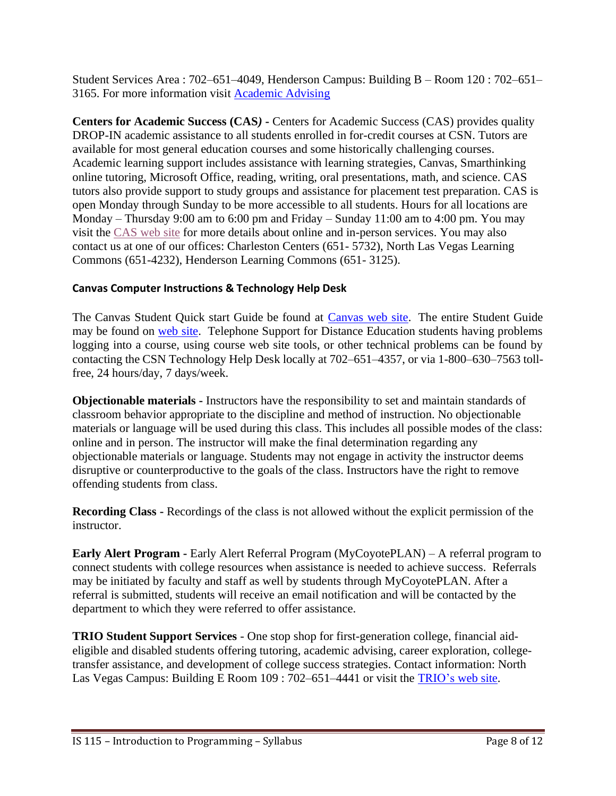Student Services Area : 702–651–4049, Henderson Campus: Building B – Room 120 : 702–651– 3165. For more information visit [Academic Advising](https://www.csn.edu/advising)

**Centers for Academic Success (CAS***)* **-** Centers for Academic Success (CAS) provides quality DROP-IN academic assistance to all students enrolled in for-credit courses at CSN. Tutors are available for most general education courses and some historically challenging courses. Academic learning support includes assistance with learning strategies, Canvas, Smarthinking online tutoring, Microsoft Office, reading, writing, oral presentations, math, and science. CAS tutors also provide support to study groups and assistance for placement test preparation. CAS is open Monday through Sunday to be more accessible to all students. Hours for all locations are Monday – Thursday 9:00 am to 6:00 pm and Friday – Sunday 11:00 am to 4:00 pm. You may visit the [CAS web site](http://www.csn.edu/centers-academic-success) for more details about online and in-person services. You may also contact us at one of our offices: Charleston Centers (651- 5732), North Las Vegas Learning Commons (651-4232), Henderson Learning Commons (651- 3125).

## **Canvas Computer Instructions & Technology Help Desk**

The Canvas Student Quick start Guide be found at [Canvas web site.](http://guides.instructure.com/m/8470) The entire Student Guide may be found on [web site.](http://guides.instructure.com/m/4212) Telephone Support for Distance Education students having problems logging into a course, using course web site tools, or other technical problems can be found by contacting the CSN Technology Help Desk locally at 702–651–4357, or via 1-800–630–7563 tollfree, 24 hours/day, 7 days/week.

**Objectionable materials -** Instructors have the responsibility to set and maintain standards of classroom behavior appropriate to the discipline and method of instruction. No objectionable materials or language will be used during this class. This includes all possible modes of the class: online and in person. The instructor will make the final determination regarding any objectionable materials or language. Students may not engage in activity the instructor deems disruptive or counterproductive to the goals of the class. Instructors have the right to remove offending students from class.

**Recording Class -** Recordings of the class is not allowed without the explicit permission of the instructor.

**Early Alert Program -** Early Alert Referral Program (MyCoyotePLAN) – A referral program to connect students with college resources when assistance is needed to achieve success. Referrals may be initiated by faculty and staff as well by students through MyCoyotePLAN. After a referral is submitted, students will receive an email notification and will be contacted by the department to which they were referred to offer assistance.

**TRIO Student Support Services** - One stop shop for first-generation college, financial aideligible and disabled students offering tutoring, academic advising, career exploration, collegetransfer assistance, and development of college success strategies. Contact information: North Las Vegas Campus: Building E Room 109 : 702–651–4441 or visit the [TRIO's](https://www.csn.edu/trio) web site.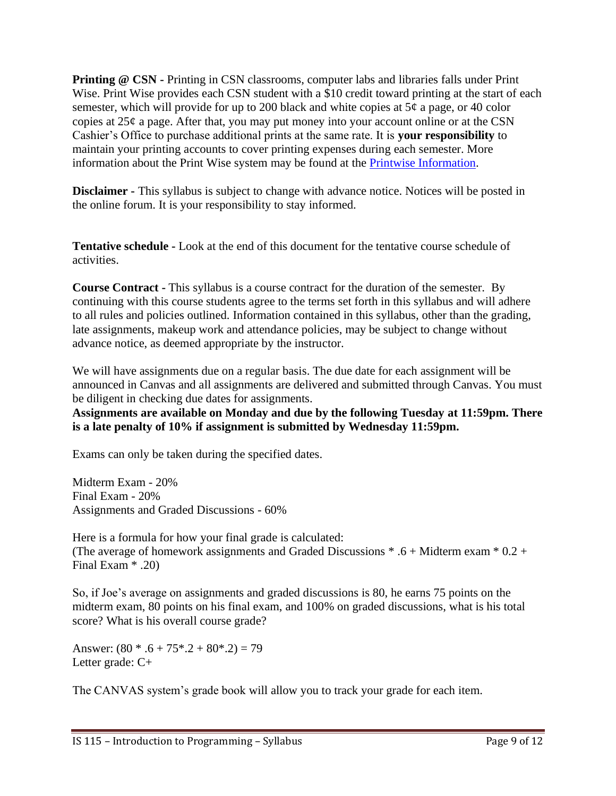**Printing @ CSN -** Printing in CSN classrooms, computer labs and libraries falls under Print Wise. Print Wise provides each CSN student with a \$10 credit toward printing at the start of each semester, which will provide for up to 200 black and white copies at  $5¢$  a page, or 40 color copies at  $25¢$  a page. After that, you may put money into your account online or at the CSN Cashier's Office to purchase additional prints at the same rate. It is **your responsibility** to maintain your printing accounts to cover printing expenses during each semester. More information about the Print Wise system may be found at the [Printwise Information.](http://www.csn.edu/printwise)

**Disclaimer -** This syllabus is subject to change with advance notice. Notices will be posted in the online forum. It is your responsibility to stay informed.

**Tentative schedule -** Look at the end of this document for the tentative course schedule of activities.

**Course Contract -** This syllabus is a course contract for the duration of the semester. By continuing with this course students agree to the terms set forth in this syllabus and will adhere to all rules and policies outlined. Information contained in this syllabus, other than the grading, late assignments, makeup work and attendance policies, may be subject to change without advance notice, as deemed appropriate by the instructor.

We will have assignments due on a regular basis. The due date for each assignment will be announced in Canvas and all assignments are delivered and submitted through Canvas. You must be diligent in checking due dates for assignments.

**Assignments are available on Monday and due by the following Tuesday at 11:59pm. There is a late penalty of 10% if assignment is submitted by Wednesday 11:59pm.** 

Exams can only be taken during the specified dates.

Midterm Exam - 20% Final Exam - 20% Assignments and Graded Discussions - 60%

Here is a formula for how your final grade is calculated: (The average of homework assignments and Graded Discussions  $* .6 + M$ idterm exam  $* 0.2 +$ Final Exam \* .20)

So, if Joe's average on assignments and graded discussions is 80, he earns 75 points on the midterm exam, 80 points on his final exam, and 100% on graded discussions, what is his total score? What is his overall course grade?

Answer:  $(80 * .6 + 75 * .2 + 80 * .2) = 79$ Letter grade: C+

The CANVAS system's grade book will allow you to track your grade for each item.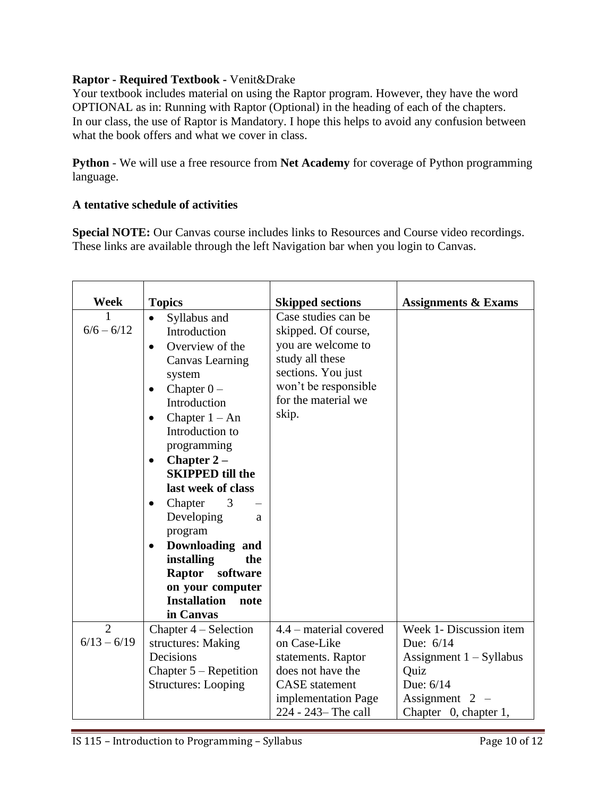#### **Raptor - Required Textbook -** Venit&Drake

Your textbook includes material on using the Raptor program. However, they have the word OPTIONAL as in: Running with Raptor (Optional) in the heading of each of the chapters. In our class, the use of Raptor is Mandatory. I hope this helps to avoid any confusion between what the book offers and what we cover in class.

**Python** - We will use a free resource from **Net Academy** for coverage of Python programming language.

#### **A tentative schedule of activities**

**Special NOTE:** Our Canvas course includes links to Resources and Course video recordings. These links are available through the left Navigation bar when you login to Canvas.

| Week           | <b>Topics</b>                                                                                                                                                                                                                                                                                                                                                                                               | <b>Skipped sections</b>                                                                                                                                           | <b>Assignments &amp; Exams</b> |
|----------------|-------------------------------------------------------------------------------------------------------------------------------------------------------------------------------------------------------------------------------------------------------------------------------------------------------------------------------------------------------------------------------------------------------------|-------------------------------------------------------------------------------------------------------------------------------------------------------------------|--------------------------------|
| $6/6 - 6/12$   | Syllabus and<br>$\bullet$<br>Introduction<br>Overview of the<br>Canvas Learning<br>system<br>Chapter $0 -$<br>Introduction<br>Chapter $1 - An$<br>Introduction to<br>programming<br>Chapter $2-$<br>$\bullet$<br><b>SKIPPED till the</b><br>last week of class<br>Chapter<br>3<br>$\bullet$<br>Developing<br>a<br>program<br>Downloading and<br>installing<br>the<br>Raptor<br>software<br>on your computer | Case studies can be<br>skipped. Of course,<br>you are welcome to<br>study all these<br>sections. You just<br>won't be responsible<br>for the material we<br>skip. |                                |
|                | <b>Installation</b><br>note<br>in Canvas                                                                                                                                                                                                                                                                                                                                                                    |                                                                                                                                                                   |                                |
| $\overline{2}$ | Chapter 4 – Selection                                                                                                                                                                                                                                                                                                                                                                                       | 4.4 – material covered                                                                                                                                            | Week 1- Discussion item        |
| $6/13 - 6/19$  | structures: Making                                                                                                                                                                                                                                                                                                                                                                                          | on Case-Like                                                                                                                                                      | Due: 6/14                      |
|                | Decisions                                                                                                                                                                                                                                                                                                                                                                                                   | statements. Raptor                                                                                                                                                | Assignment $1 - Syllabus$      |
|                | Chapter $5$ – Repetition                                                                                                                                                                                                                                                                                                                                                                                    | does not have the                                                                                                                                                 | Quiz                           |
|                | <b>Structures: Looping</b>                                                                                                                                                                                                                                                                                                                                                                                  | <b>CASE</b> statement                                                                                                                                             | Due: 6/14                      |
|                |                                                                                                                                                                                                                                                                                                                                                                                                             | implementation Page                                                                                                                                               | Assignment $2 -$               |
|                |                                                                                                                                                                                                                                                                                                                                                                                                             | 224 - 243 – The call                                                                                                                                              | Chapter 0, chapter 1,          |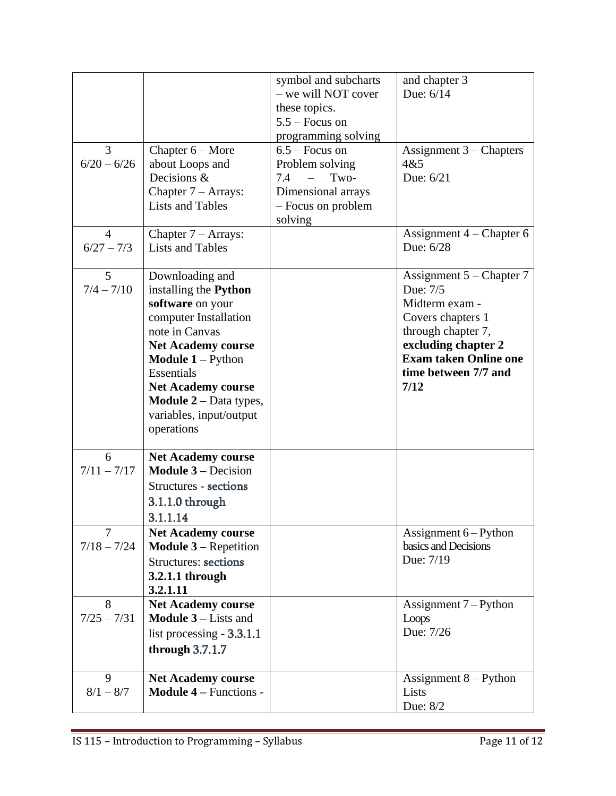|                |                                                          | symbol and subcharts              | and chapter 3                             |
|----------------|----------------------------------------------------------|-----------------------------------|-------------------------------------------|
|                |                                                          | - we will NOT cover               | Due: 6/14                                 |
|                |                                                          | these topics.<br>$5.5 -$ Focus on |                                           |
|                |                                                          | programming solving               |                                           |
| 3              | Chapter $6 -$ More                                       | $6.5 -$ Focus on                  | Assignment $3$ – Chapters                 |
| $6/20 - 6/26$  | about Loops and                                          | Problem solving                   | 4&5                                       |
|                | Decisions &                                              | 7.4<br>Two-                       | Due: 6/21                                 |
|                | Chapter $7 - \text{Arrays}$ :                            | Dimensional arrays                |                                           |
|                | <b>Lists and Tables</b>                                  | - Focus on problem                |                                           |
| $\overline{4}$ |                                                          | solving                           |                                           |
| $6/27 - 7/3$   | Chapter $7 - \text{Arrays}$ :<br><b>Lists and Tables</b> |                                   | Assignment $4$ – Chapter 6<br>Due: 6/28   |
|                |                                                          |                                   |                                           |
| 5              | Downloading and                                          |                                   | Assignment $5$ – Chapter 7                |
| $7/4 - 7/10$   | installing the Python                                    |                                   | Due: 7/5                                  |
|                | software on your                                         |                                   | Midterm exam -                            |
|                | computer Installation                                    |                                   | Covers chapters 1                         |
|                | note in Canvas<br><b>Net Academy course</b>              |                                   | through chapter 7,<br>excluding chapter 2 |
|                | <b>Module 1 – Python</b>                                 |                                   | <b>Exam taken Online one</b>              |
|                | Essentials                                               |                                   | time between 7/7 and                      |
|                | <b>Net Academy course</b>                                |                                   | 7/12                                      |
|                | <b>Module 2</b> – Data types,                            |                                   |                                           |
|                | variables, input/output                                  |                                   |                                           |
|                | operations                                               |                                   |                                           |
| 6              | <b>Net Academy course</b>                                |                                   |                                           |
| $7/11 - 7/17$  | <b>Module <math>3</math></b> – Decision                  |                                   |                                           |
|                | Structures - sections                                    |                                   |                                           |
|                | 3.1.1.0 through                                          |                                   |                                           |
|                | 3.1.1.14                                                 |                                   |                                           |
| $\overline{7}$ | <b>Net Academy course</b>                                |                                   | Assignment 6 - Python                     |
| $7/18 - 7/24$  | <b>Module 3 – Repetition</b>                             |                                   | basics and Decisions                      |
|                | <b>Structures: sections</b>                              |                                   | Due: 7/19                                 |
|                | 3.2.1.1 through                                          |                                   |                                           |
| 8              | 3.2.1.11<br><b>Net Academy course</b>                    |                                   |                                           |
| $7/25 - 7/31$  | <b>Module <math>3</math> – Lists and</b>                 |                                   | Assignment $7 -$ Python<br>Loops          |
|                | list processing $-3.3.1.1$                               |                                   | Due: 7/26                                 |
|                | through $3.7.1.7$                                        |                                   |                                           |
|                |                                                          |                                   |                                           |
| 9              | <b>Net Academy course</b>                                |                                   | Assignment $8 -$ Python                   |
| $8/1 - 8/7$    | <b>Module 4 – Functions -</b>                            |                                   | Lists                                     |
|                |                                                          |                                   | Due: 8/2                                  |